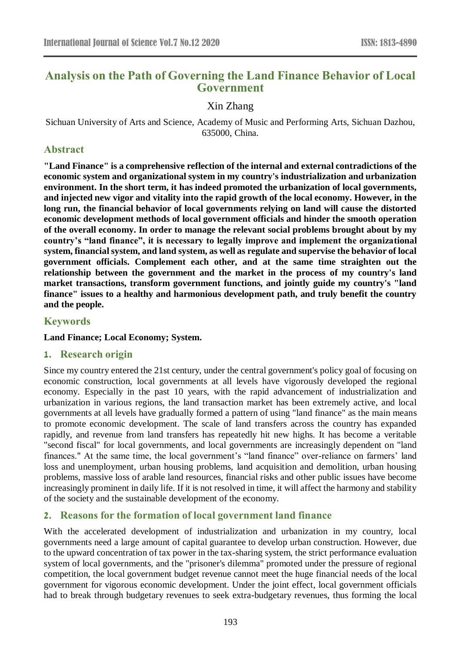# **Analysis on the Path of Governing the Land Finance Behavior of Local Government**

Xin Zhang

Sichuan University of Arts and Science, Academy of Music and Performing Arts, Sichuan Dazhou, 635000, China.

# **Abstract**

**"Land Finance" is a comprehensive reflection of the internal and external contradictions of the economic system and organizational system in my country's industrialization and urbanization environment. In the short term, it has indeed promoted the urbanization of local governments, and injected new vigor and vitality into the rapid growth of the local economy. However, in the long run, the financial behavior of local governments relying on land will cause the distorted economic development methods of local government officials and hinder the smooth operation of the overall economy. In order to manage the relevant social problems brought about by my country's "land finance", it is necessary to legally improve and implement the organizational system, financial system, and land system, as well as regulate and supervise the behavior of local government officials. Complement each other, and at the same time straighten out the relationship between the government and the market in the process of my country's land market transactions, transform government functions, and jointly guide my country's "land finance" issues to a healthy and harmonious development path, and truly benefit the country and the people.**

## **Keywords**

### **Land Finance; Local Economy; System.**

## **1. Research origin**

Since my country entered the 21st century, under the central government's policy goal of focusing on economic construction, local governments at all levels have vigorously developed the regional economy. Especially in the past 10 years, with the rapid advancement of industrialization and urbanization in various regions, the land transaction market has been extremely active, and local governments at all levels have gradually formed a pattern of using "land finance" as the main means to promote economic development. The scale of land transfers across the country has expanded rapidly, and revenue from land transfers has repeatedly hit new highs. It has become a veritable "second fiscal" for local governments, and local governments are increasingly dependent on "land finances." At the same time, the local government's "land finance" over-reliance on farmers' land loss and unemployment, urban housing problems, land acquisition and demolition, urban housing problems, massive loss of arable land resources, financial risks and other public issues have become increasingly prominent in daily life. If it is not resolved in time, it will affect the harmony and stability of the society and the sustainable development of the economy.

# **2. Reasons for the formation of local government land finance**

With the accelerated development of industrialization and urbanization in my country, local governments need a large amount of capital guarantee to develop urban construction. However, due to the upward concentration of tax power in the tax-sharing system, the strict performance evaluation system of local governments, and the "prisoner's dilemma" promoted under the pressure of regional competition, the local government budget revenue cannot meet the huge financial needs of the local government for vigorous economic development. Under the joint effect, local government officials had to break through budgetary revenues to seek extra-budgetary revenues, thus forming the local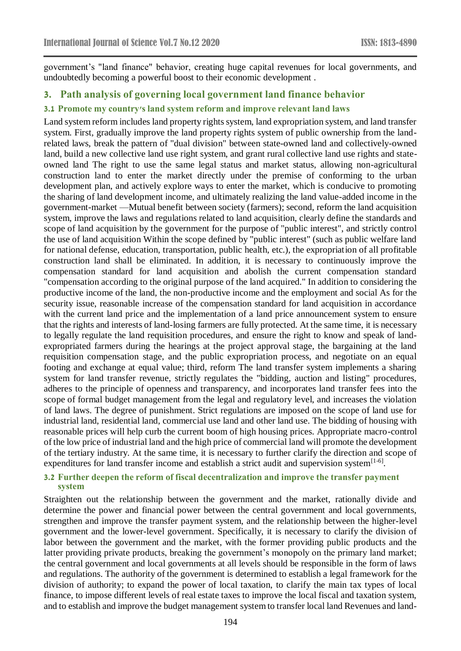government's "land finance" behavior, creating huge capital revenues for local governments, and undoubtedly becoming a powerful boost to their economic development .

# **3. Path analysis of governing local government land finance behavior**

## **3.1 Promote my country's land system reform and improve relevant land laws**

Land system reform includes land property rights system, land expropriation system, and land transfer system. First, gradually improve the land property rights system of public ownership from the landrelated laws, break the pattern of "dual division" between state-owned land and collectively-owned land, build a new collective land use right system, and grant rural collective land use rights and stateowned land The right to use the same legal status and market status, allowing non-agricultural construction land to enter the market directly under the premise of conforming to the urban development plan, and actively explore ways to enter the market, which is conducive to promoting the sharing of land development income, and ultimately realizing the land value-added income in the government-market —Mutual benefit between society (farmers); second, reform the land acquisition system, improve the laws and regulations related to land acquisition, clearly define the standards and scope of land acquisition by the government for the purpose of "public interest", and strictly control the use of land acquisition Within the scope defined by "public interest" (such as public welfare land for national defense, education, transportation, public health, etc.), the expropriation of all profitable construction land shall be eliminated. In addition, it is necessary to continuously improve the compensation standard for land acquisition and abolish the current compensation standard "compensation according to the original purpose of the land acquired." In addition to considering the productive income of the land, the non-productive income and the employment and social As for the security issue, reasonable increase of the compensation standard for land acquisition in accordance with the current land price and the implementation of a land price announcement system to ensure that the rights and interests of land-losing farmers are fully protected. At the same time, it is necessary to legally regulate the land requisition procedures, and ensure the right to know and speak of landexpropriated farmers during the hearings at the project approval stage, the bargaining at the land requisition compensation stage, and the public expropriation process, and negotiate on an equal footing and exchange at equal value; third, reform The land transfer system implements a sharing system for land transfer revenue, strictly regulates the "bidding, auction and listing" procedures, adheres to the principle of openness and transparency, and incorporates land transfer fees into the scope of formal budget management from the legal and regulatory level, and increases the violation of land laws. The degree of punishment. Strict regulations are imposed on the scope of land use for industrial land, residential land, commercial use land and other land use. The bidding of housing with reasonable prices will help curb the current boom of high housing prices. Appropriate macro-control of the low price of industrial land and the high price of commercial land will promote the development of the tertiary industry. At the same time, it is necessary to further clarify the direction and scope of expenditures for land transfer income and establish a strict audit and supervision system $[1-6]$ .

#### **3.2 Further deepen the reform of fiscal decentralization and improve the transfer payment system**

Straighten out the relationship between the government and the market, rationally divide and determine the power and financial power between the central government and local governments, strengthen and improve the transfer payment system, and the relationship between the higher-level government and the lower-level government. Specifically, it is necessary to clarify the division of labor between the government and the market, with the former providing public products and the latter providing private products, breaking the government's monopoly on the primary land market; the central government and local governments at all levels should be responsible in the form of laws and regulations. The authority of the government is determined to establish a legal framework for the division of authority; to expand the power of local taxation, to clarify the main tax types of local finance, to impose different levels of real estate taxes to improve the local fiscal and taxation system, and to establish and improve the budget management system to transfer local land Revenues and land-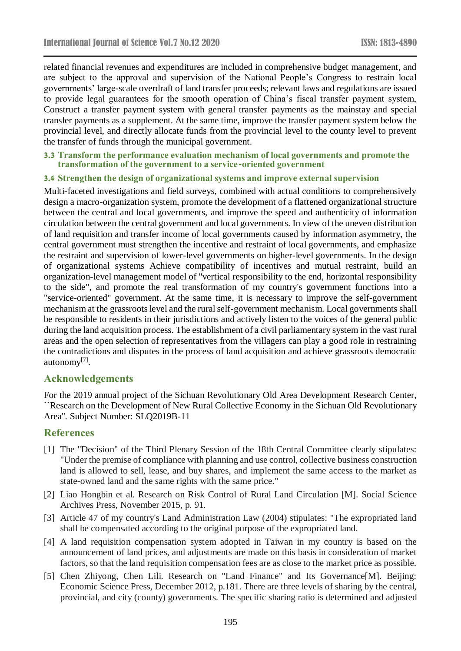related financial revenues and expenditures are included in comprehensive budget management, and are subject to the approval and supervision of the National People's Congress to restrain local governments' large-scale overdraft of land transfer proceeds; relevant laws and regulations are issued to provide legal guarantees for the smooth operation of China's fiscal transfer payment system, Construct a transfer payment system with general transfer payments as the mainstay and special transfer payments as a supplement. At the same time, improve the transfer payment system below the provincial level, and directly allocate funds from the provincial level to the county level to prevent the transfer of funds through the municipal government.

#### **3.3 Transform the performance evaluation mechanism of local governments and promote the transformation of the government to a service-oriented government**

#### **3.4 Strengthen the design of organizational systems and improve external supervision**

Multi-faceted investigations and field surveys, combined with actual conditions to comprehensively design a macro-organization system, promote the development of a flattened organizational structure between the central and local governments, and improve the speed and authenticity of information circulation between the central government and local governments. In view of the uneven distribution of land requisition and transfer income of local governments caused by information asymmetry, the central government must strengthen the incentive and restraint of local governments, and emphasize the restraint and supervision of lower-level governments on higher-level governments. In the design of organizational systems Achieve compatibility of incentives and mutual restraint, build an organization-level management model of "vertical responsibility to the end, horizontal responsibility to the side", and promote the real transformation of my country's government functions into a "service-oriented" government. At the same time, it is necessary to improve the self-government mechanism at the grassroots level and the rural self-government mechanism. Local governments shall be responsible to residents in their jurisdictions and actively listen to the voices of the general public during the land acquisition process. The establishment of a civil parliamentary system in the vast rural areas and the open selection of representatives from the villagers can play a good role in restraining the contradictions and disputes in the process of land acquisition and achieve grassroots democratic autonomy[7].

## **Acknowledgements**

For the 2019 annual project of the Sichuan Revolutionary Old Area Development Research Center, ``Research on the Development of New Rural Collective Economy in the Sichuan Old Revolutionary Area''. Subject Number: SLQ2019B-11

### **References**

- [1] The "Decision" of the Third Plenary Session of the 18th Central Committee clearly stipulates: "Under the premise of compliance with planning and use control, collective business construction land is allowed to sell, lease, and buy shares, and implement the same access to the market as state-owned land and the same rights with the same price."
- [2] Liao Hongbin et al. Research on Risk Control of Rural Land Circulation [M]. Social Science Archives Press, November 2015, p. 91.
- [3] Article 47 of my country's Land Administration Law (2004) stipulates: "The expropriated land shall be compensated according to the original purpose of the expropriated land.
- [4] A land requisition compensation system adopted in Taiwan in my country is based on the announcement of land prices, and adjustments are made on this basis in consideration of market factors, so that the land requisition compensation fees are as close to the market price as possible.
- [5] Chen Zhiyong, Chen Lili. Research on "Land Finance" and Its Governance[M]. Beijing: Economic Science Press, December 2012, p.181. There are three levels of sharing by the central, provincial, and city (county) governments. The specific sharing ratio is determined and adjusted